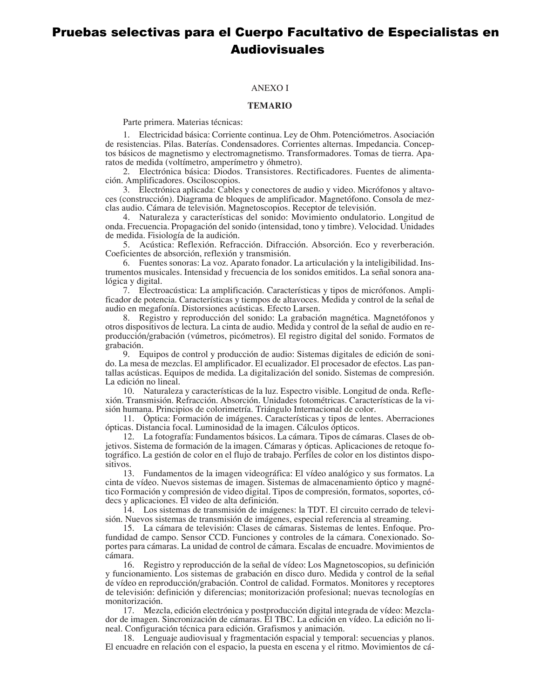## Pruebas selectivas para el Cuerpo Facultativo de Especialistas en Audiovisuales

## **ANEXO I**

## TEMARIO

Parte primera. Materias técnicas:

1. Electricidad básica: Corriente continua. Ley de Ohm. Potenciómetros. Asociación de resistencias. Pilas. Baterías. Condensadores. Corrientes alternas. Impedancia. Conceptos básicos de magnetismo y electromagnetismo. Transformadores. Tomas de tierra. Aparatos de medida (voltímetro, amperímetro y óhmetro).

2. Electrónica básica: Diodos. Transistores. Rectificadores. Fuentes de alimentación. Amplificadores. Osciloscopios.

3. Electrónica aplicada: Cables y conectores de audio y video. Micrófonos y altavoces (construcción). Diagrama de bloques de amplificador. Magnetófono. Consola de mezclas audio. Cámara de televisión. Magnetoscopios. Receptor de televisión.

4. Naturaleza y características del sonido: Movimiento ondulatorio. Longitud de onda. Frecuencia. Propagación del sonido (intensidad, tono y timbre). Velocidad. Unidades de medida. Fisiología de la audición.

5. Acústica: Reflexión. Refracción. Difracción. Absorción. Eco y reverberación. Coeficientes de absorción, reflexión y transmisión.

6. Fuentes sonoras: La voz. Aparato fonador. La articulación y la inteligibilidad. Instrumentos musicales. Intensidad y frecuencia de los sonidos emitidos. La señal sonora analógica y digital.

7. Electroacústica: La amplificación. Características y tipos de micrófonos. Amplificador de potencia. Características y tiempos de altavoces. Medida y control de la señal de audio en megafonía. Distorsiones acústicas. Efecto Larsen.

8. Registro y reproducción del sonido: La grabación magnética. Magnetófonos y otros dispositivos de lectura. La cinta de audio. Medida y control de la señal de audio en reproducción/grabación (vúmetros, picómetros). El registro digital del sonido. Formatos de grabación.

9. Equipos de control y producción de audio: Sistemas digitales de edición de sonido. La mesa de mezclas. El amplificador. El ecualizador. El procesador de efectos. Las pantallas acústicas. Equipos de medida. La digitalización del sonido. Sistemas de compresión. La edición no lineal.

10. Naturaleza y características de la luz. Espectro visible. Longitud de onda. Refle $x$ ión. Transmisión. Refracción. Absorción. Unidades fotométricas. Características de la visión humana. Principios de colorimetría. Triángulo Internacional de color.

11. Óptica: Formación de imágenes. Características y tipos de lentes. Aberraciones ópticas. Distancia focal. Luminosidad de la imagen. Cálculos ópticos.

12. La fotografía: Fundamentos básicos. La cámara. Tipos de cámaras. Clases de objetivos. Sistema de formación de la imagen. Cámaras y ópticas. Aplicaciones de retoque fotográfico. La gestión de color en el flujo de trabajo. Perfiles de color en los distintos dispositivos.

13. Fundamentos de la imagen videográfica: El vídeo analógico y sus formatos. La cinta de vídeo. Nuevos sistemas de imagen. Sistemas de almacenamiento óptico y magnético Formación y compresión de video digital. Tipos de compresión, formatos, soportes, códecs y aplicaciones. El video de alta definición.

14. Los sistemas de transmisión de imágenes: la TDT. El circuito cerrado de televisión. Nuevos sistemas de transmisión de imágenes, especial referencia al streaming.

15. La cámara de televisión: Clases de cámaras. Sistemas de lentes. Enfoque. Profundidad de campo. Sensor CCD. Funciones y controles de la cámara. Conexionado. Soportes para cámaras. La unidad de control de cámara. Escalas de encuadre. Movimientos de cámara.

16. Registro y reproducción de la señal de vídeo: Los Magnetoscopios, su definición y funcionamiento. Los sistemas de grabación en disco duro. Medida y control de la señal de vídeo en reproducción/grabación. Control de calidad. Formatos. Monitores y receptores de televisión: definición y diferencias; monitorización profesional; nuevas tecnologías en monitorización.

17. Mezcla, edición electrónica y postproducción digital integrada de vídeo: Mezclador de imagen. Sincronización de cámaras. El TBC. La edición en vídeo. La edición no lineal. Configuración técnica para edición. Grafismos y animación.

18. Lenguaje audiovisual y fragmentación espacial y temporal: secuencias y planos. El encuadre en relación con el espacio, la puesta en escena y el ritmo. Movimientos de cá